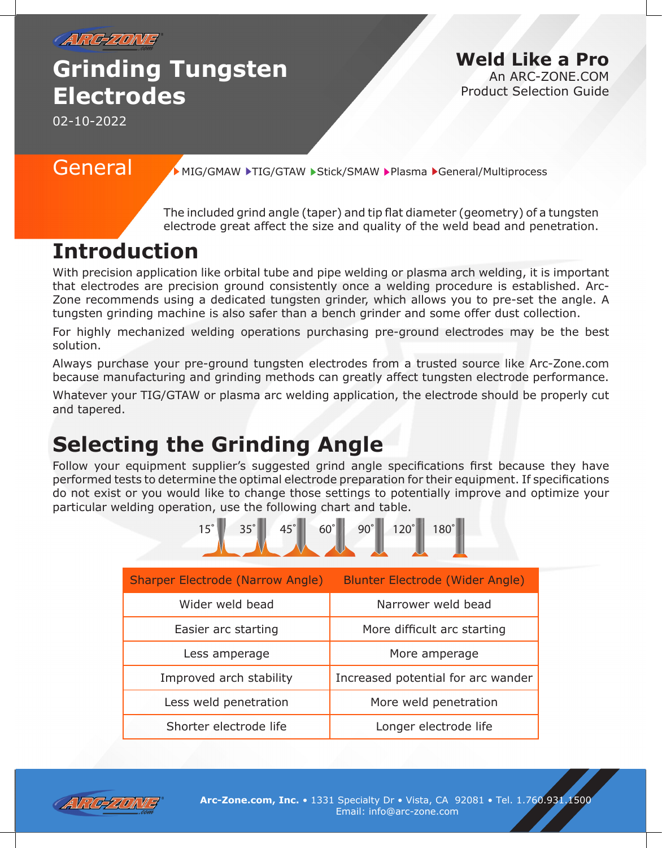

# **Grinding Tungsten Electrodes**

**Weld Like a Pro**

An ARC-ZONE.COM Product Selection Guide

02-10-2022

General MIG/GMAW FIG/GTAW Stick/SMAW Plasma General/Multiprocess

The included grind angle (taper) and tip flat diameter (geometry) of a tungsten electrode great affect the size and quality of the weld bead and penetration.

## **Introduction**

With precision application like orbital tube and pipe welding or plasma arch welding, it is important that electrodes are precision ground consistently once a welding procedure is established. Arc-Zone recommends using a dedicated tungsten grinder, which allows you to pre-set the angle. A tungsten grinding machine is also safer than a bench grinder and some offer dust collection.

For highly mechanized welding operations purchasing pre-ground electrodes may be the best solution.

Always purchase your pre-ground tungsten electrodes from a trusted source like Arc-Zone.com because manufacturing and grinding methods can greatly affect tungsten electrode performance.

Whatever your TIG/GTAW or plasma arc welding application, the electrode should be properly cut and tapered.

# **Selecting the Grinding Angle**

Follow your equipment supplier's suggested grind angle specifications first because they have performed tests to determine the optimal electrode preparation for their equipment. If specifications do not exist or you would like to change those settings to potentially improve and optimize your particular welding operation, use the following chart and table.



| <b>Sharper Electrode (Narrow Angle)</b> | <b>Blunter Electrode (Wider Angle)</b> |
|-----------------------------------------|----------------------------------------|
| Wider weld bead                         | Narrower weld bead                     |
| Easier arc starting                     | More difficult arc starting            |
| Less amperage                           | More amperage                          |
| Improved arch stability                 | Increased potential for arc wander     |
| Less weld penetration                   | More weld penetration                  |
| Shorter electrode life                  | Longer electrode life                  |

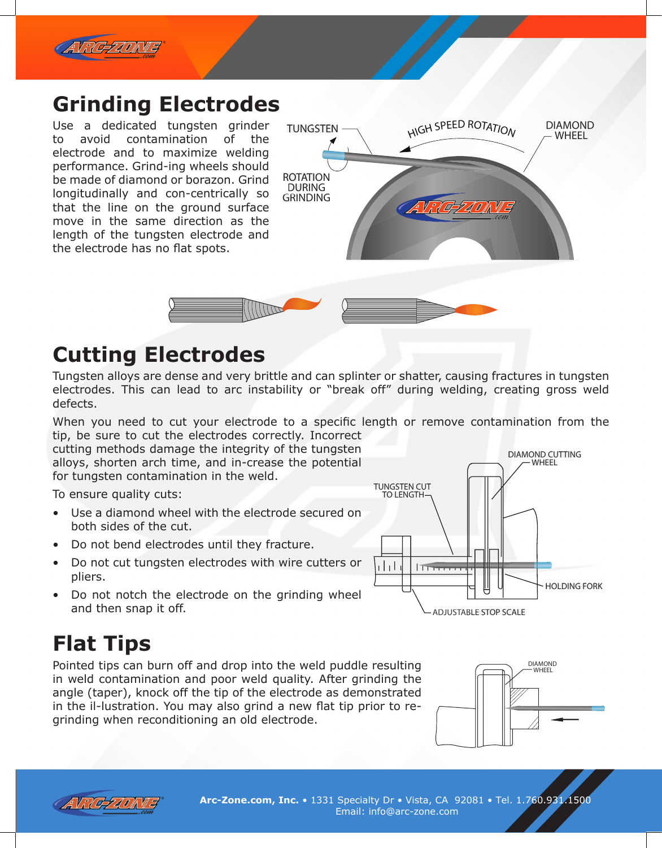

#### **Grinding Electrodes**

Use a dedicated tungsten grinder to avoid contamination of the electrode and to maximize welding performance. Grind-ing wheels should be made of diamond or borazon. Grind longitudinally and con-centrically so that the line on the ground surface move in the same direction as the length of the tungsten electrode and the electrode has no flat spots.





### **Cutting Electrodes**

Tungsten alloys are dense and very brittle and can splinter or shatter, causing fractures in tungsten electrodes. This can lead to arc instability or "break off" during welding, creating gross weld defects.

When you need to cut your electrode to a specific length or remove contamination from the tip, be sure to cut the electrodes correctly. Incorrect

cutting methods damage the integrity of the tungsten alloys, shorten arch time, and in-crease the potential for tungsten contamination in the weld.

To ensure quality cuts:

- Use a diamond wheel with the electrode secured on both sides of the cut.
- Do not bend electrodes until they fracture.
- Do not cut tungsten electrodes with wire cutters or pliers.
- Do not notch the electrode on the grinding wheel and then snap it off.

# **Flat Tips**

Pointed tips can burn off and drop into the weld puddle resulting in weld contamination and poor weld quality. After grinding the angle (taper), knock off the tip of the electrode as demonstrated in the il-lustration. You may also grind a new flat tip prior to regrinding when reconditioning an old electrode.







**Arc-Zone.com, Inc.** • 1331 Specialty Dr • Vista, CA 92081 • Tel. 1.760.931.1500 Email: info@arc-zone.com